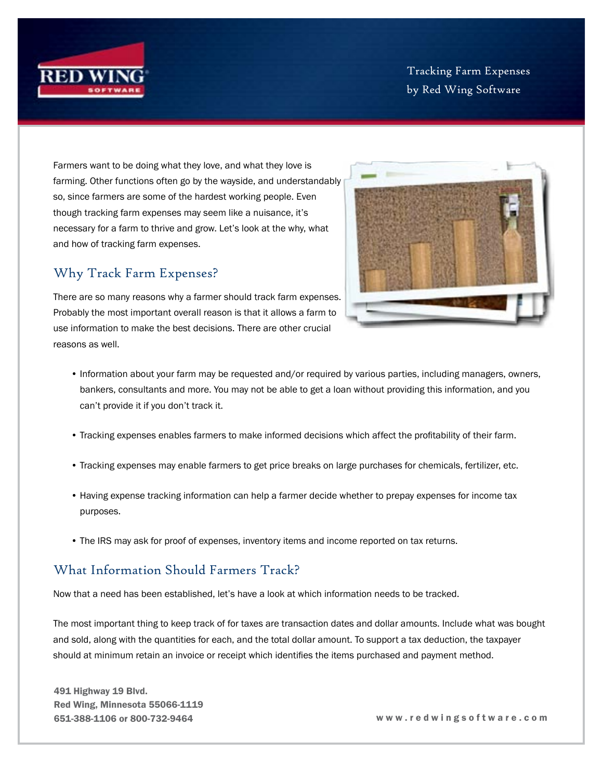

Tracking Farm Expenses by Red Wing Software

Farmers want to be doing what they love, and what they love is farming. Other functions often go by the wayside, and understandably so, since farmers are some of the hardest working people. Even though tracking farm expenses may seem like a nuisance, it's necessary for a farm to thrive and grow. Let's look at the why, what and how of tracking farm expenses.

## Why Track Farm Expenses?

There are so many reasons why a farmer should track farm expenses. Probably the most important overall reason is that it allows a farm to use information to make the best decisions. There are other crucial reasons as well.



- Information about your farm may be requested and/or required by various parties, including managers, owners, bankers, consultants and more. You may not be able to get a loan without providing this information, and you can't provide it if you don't track it.
- Tracking expenses enables farmers to make informed decisions which affect the profitability of their farm.
- Tracking expenses may enable farmers to get price breaks on large purchases for chemicals, fertilizer, etc.
- Having expense tracking information can help a farmer decide whether to prepay expenses for income tax purposes.
- The IRS may ask for proof of expenses, inventory items and income reported on tax returns.

## What Information Should Farmers Track?

Now that a need has been established, let's have a look at which information needs to be tracked.

The most important thing to keep track of for taxes are transaction dates and dollar amounts. Include what was bought and sold, along with the quantities for each, and the total dollar amount. To support a tax deduction, the taxpayer should at minimum retain an invoice or receipt which identifies the items purchased and payment method.

491 Highway 19 Blvd. Red Wing, Minnesota 55066-1119

651-388-1106 or 800-732-9464 w w w . r e d w i n g s o f t w a r e . c o m